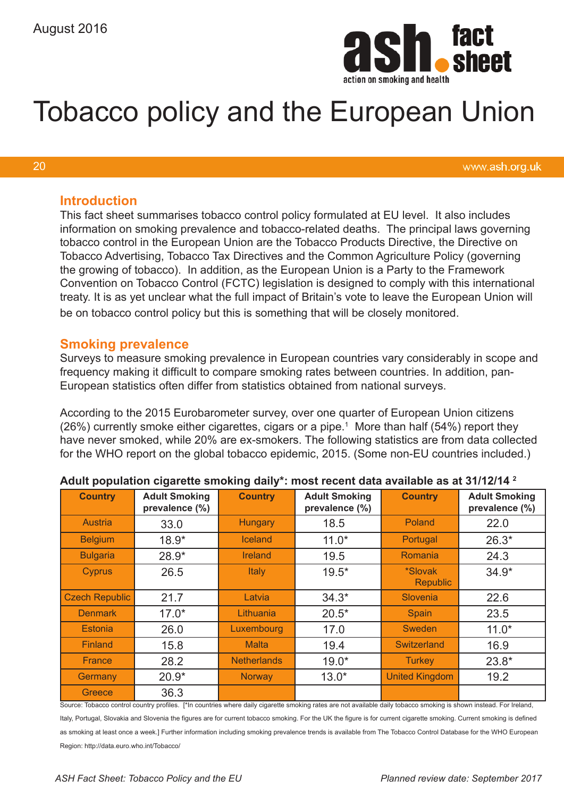

# Tobacco policy and the European Union

#### 20

www.ash.org.uk

#### **Introduction**

This fact sheet summarises tobacco control policy formulated at EU level. It also includes information on smoking prevalence and tobacco-related deaths. The principal laws governing tobacco control in the European Union are the Tobacco Products Directive, the Directive on Tobacco Advertising, Tobacco Tax Directives and the Common Agriculture Policy (governing the growing of tobacco). In addition, as the European Union is a Party to the Framework Convention on Tobacco Control (FCTC) legislation is designed to comply with this international treaty. It is as yet unclear what the full impact of Britain's vote to leave the European Union will be on tobacco control policy but this is something that will be closely monitored.

#### **Smoking prevalence**

Surveys to measure smoking prevalence in European countries vary considerably in scope and frequency making it difficult to compare smoking rates between countries. In addition, pan-European statistics often differ from statistics obtained from national surveys.

According to the 2015 Eurobarometer survey, over one quarter of European Union citizens  $(26%)$  currently smoke either cigarettes, cigars or a pipe.<sup>1</sup> More than half  $(54%)$  report they have never smoked, while 20% are ex-smokers. The following statistics are from data collected for the WHO report on the global tobacco epidemic, 2015. (Some non-EU countries included.)

| <b>Country</b>        | <b>Adult Smoking</b><br>prevalence (%) | <b>Country</b>     | <b>Adult Smoking</b><br>prevalence (%) | <b>Country</b>             | <b>Adult Smoking</b><br>prevalence (%) |
|-----------------------|----------------------------------------|--------------------|----------------------------------------|----------------------------|----------------------------------------|
| <b>Austria</b>        | 33.0                                   | Hungary            | 18.5                                   | Poland                     | 22.0                                   |
| <b>Belgium</b>        | $18.9*$                                | <b>Iceland</b>     | $11.0*$                                | Portugal                   | $26.3*$                                |
| <b>Bulgaria</b>       | $28.9*$                                | <b>Ireland</b>     | 19.5                                   | Romania                    | 24.3                                   |
| Cyprus                | 26.5                                   | Italy              | $19.5*$                                | *Slovak<br><b>Republic</b> | $34.9*$                                |
| <b>Czech Republic</b> | 21.7                                   | Latvia             | $34.3*$                                | Slovenia                   | 22.6                                   |
| <b>Denmark</b>        | $17.0*$                                | Lithuania          | $20.5*$                                | Spain                      | 23.5                                   |
| <b>Estonia</b>        | 26.0                                   | Luxembourg         | 17.0                                   | Sweden                     | $11.0*$                                |
| <b>Finland</b>        | 15.8                                   | <b>Malta</b>       | 19.4                                   | Switzerland                | 16.9                                   |
| France                | 28.2                                   | <b>Netherlands</b> | $19.0*$                                | <b>Turkey</b>              | $23.8*$                                |
| Germany               | $20.9*$                                | <b>Norway</b>      | $13.0*$                                | <b>United Kingdom</b>      | 19.2                                   |
| Greece                | 36.3                                   |                    |                                        |                            |                                        |

#### **Adult population cigarette smoking daily\*: most recent data available as at 31/12/14 2**

Source: Tobacco control country profiles. [\*In countries where daily cigarette smoking rates are not available daily tobacco smoking is shown instead. For Ireland, Italy, Portugal, Slovakia and Slovenia the figures are for current tobacco smoking. For the UK the figure is for current cigarette smoking. Current smoking is defined as smoking at least once a week.] Further information including smoking prevalence trends is available from The Tobacco Control Database for the WHO European Region: http://data.euro.who.int/Tobacco/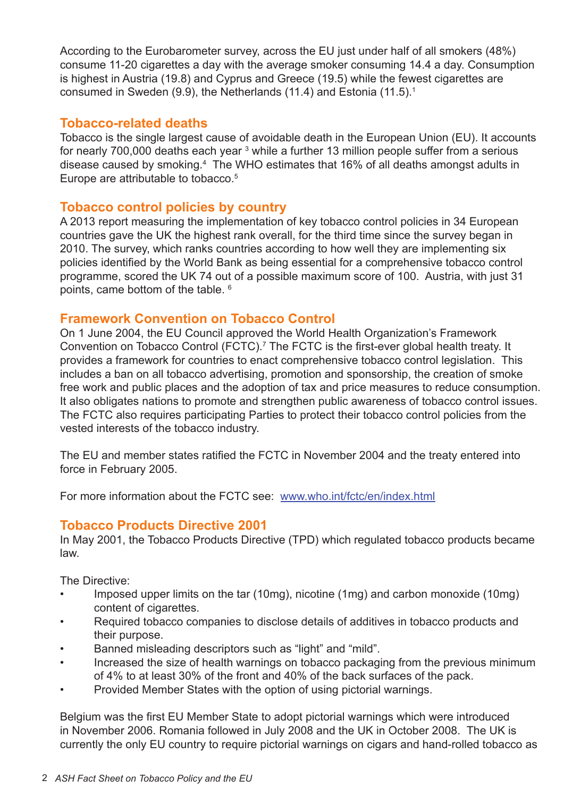According to the Eurobarometer survey, across the EU just under half of all smokers (48%) consume 11-20 cigarettes a day with the average smoker consuming 14.4 a day. Consumption is highest in Austria (19.8) and Cyprus and Greece (19.5) while the fewest cigarettes are consumed in Sweden (9.9), the Netherlands (11.4) and Estonia (11.5).<sup>1</sup>

## **Tobacco-related deaths**

Tobacco is the single largest cause of avoidable death in the European Union (EU). It accounts for nearly 700,000 deaths each year  $^3$  while a further 13 million people suffer from a serious disease caused by smoking.<sup>4</sup> The WHO estimates that 16% of all deaths amongst adults in Europe are attributable to tobacco.<sup>5</sup>

## **Tobacco control policies by country**

A 2013 report measuring the implementation of key tobacco control policies in 34 European countries gave the UK the highest rank overall, for the third time since the survey began in 2010. The survey, which ranks countries according to how well they are implementing six policies identified by the World Bank as being essential for a comprehensive tobacco control programme, scored the UK 74 out of a possible maximum score of 100. Austria, with just 31 points, came bottom of the table. 6

#### **Framework Convention on Tobacco Control**

On 1 June 2004, the EU Council approved the World Health Organization's Framework Convention on Tobacco Control (FCTC).<sup>7</sup> The FCTC is the first-ever global health treaty. It provides a framework for countries to enact comprehensive tobacco control legislation. This includes a ban on all tobacco advertising, promotion and sponsorship, the creation of smoke free work and public places and the adoption of tax and price measures to reduce consumption. It also obligates nations to promote and strengthen public awareness of tobacco control issues. The FCTC also requires participating Parties to protect their tobacco control policies from the vested interests of the tobacco industry.

The EU and member states ratified the FCTC in November 2004 and the treaty entered into force in February 2005.

For more information about the FCTC see: www.who.int/fctc/en/index.html

## **Tobacco Products Directive 2001**

In May 2001, the Tobacco Products Directive (TPD) which regulated tobacco products became law.

The Directive:

- Imposed upper limits on the tar (10mg), nicotine (1mg) and carbon monoxide (10mg) content of cigarettes.
- Required tobacco companies to disclose details of additives in tobacco products and their purpose.
- Banned misleading descriptors such as "light" and "mild".
- Increased the size of health warnings on tobacco packaging from the previous minimum of 4% to at least 30% of the front and 40% of the back surfaces of the pack.
- Provided Member States with the option of using pictorial warnings.

Belgium was the first EU Member State to adopt pictorial warnings which were introduced in November 2006. Romania followed in July 2008 and the UK in October 2008. The UK is currently the only EU country to require pictorial warnings on cigars and hand-rolled tobacco as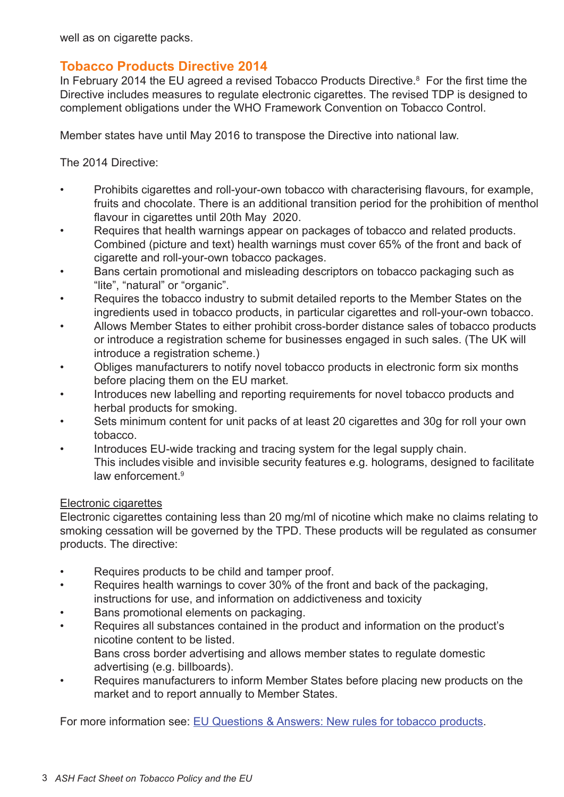well as on cigarette packs.

## **Tobacco Products Directive 2014**

In February 2014 the EU agreed a revised Tobacco Products Directive.<sup>8</sup> For the first time the Directive includes measures to regulate electronic cigarettes. The revised TDP is designed to complement obligations under the WHO Framework Convention on Tobacco Control.

Member states have until May 2016 to transpose the Directive into national law.

The 2014 Directive:

- Prohibits cigarettes and roll-your-own tobacco with characterising flavours, for example, fruits and chocolate. There is an additional transition period for the prohibition of menthol flavour in cigarettes until 20th May 2020.
- Requires that health warnings appear on packages of tobacco and related products. Combined (picture and text) health warnings must cover 65% of the front and back of cigarette and roll-your-own tobacco packages.
- Bans certain promotional and misleading descriptors on tobacco packaging such as "lite", "natural" or "organic".
- Requires the tobacco industry to submit detailed reports to the Member States on the ingredients used in tobacco products, in particular cigarettes and roll-your-own tobacco.
- Allows Member States to either prohibit cross-border distance sales of tobacco products or introduce a registration scheme for businesses engaged in such sales. (The UK will introduce a registration scheme.)
- Obliges manufacturers to notify novel tobacco products in electronic form six months before placing them on the EU market.
- Introduces new labelling and reporting requirements for novel tobacco products and herbal products for smoking.
- Sets minimum content for unit packs of at least 20 cigarettes and 30g for roll your own tobacco.
- Introduces EU-wide tracking and tracing system for the legal supply chain. This includes visible and invisible security features e.g. holograms, designed to facilitate law enforcement.<sup>9</sup>

#### Electronic cigarettes

Electronic cigarettes containing less than 20 mg/ml of nicotine which make no claims relating to smoking cessation will be governed by the TPD. These products will be regulated as consumer products. The directive:

- Requires products to be child and tamper proof.
- Requires health warnings to cover 30% of the front and back of the packaging, instructions for use, and information on addictiveness and toxicity
- Bans promotional elements on packaging.
- Requires all substances contained in the product and information on the product's nicotine content to be listed.
	- Bans cross border advertising and allows member states to regulate domestic advertising (e.g. billboards).
- Requires manufacturers to inform Member States before placing new products on the market and to report annually to Member States.

For more information see: [EU Questions & Answers: New rules for tobacco products](http://europa.eu/rapid/press-release_MEMO-14-134_en.htm).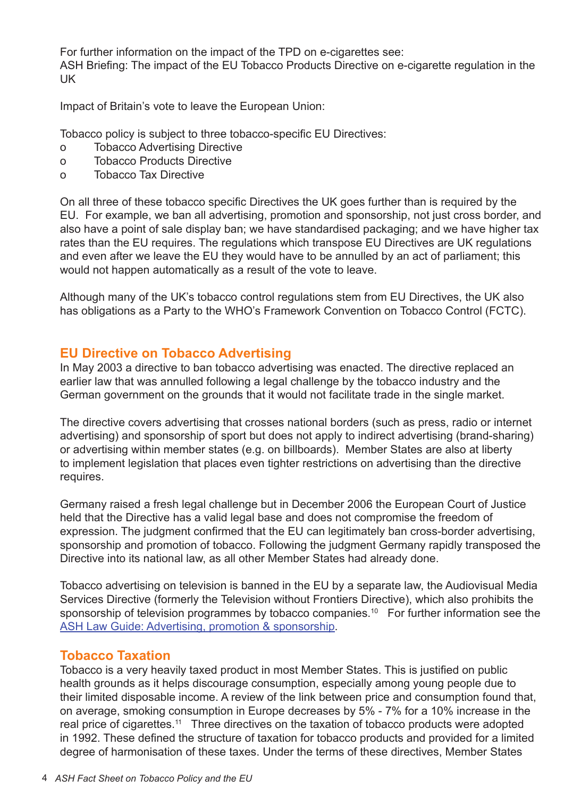For further information on the impact of the TPD on e-cigarettes see: ASH Briefing: The impact of the EU Tobacco Products Directive on e-cigarette regulation in the UK

Impact of Britain's vote to leave the European Union:

Tobacco policy is subject to three tobacco-specific EU Directives:

- o Tobacco Advertising Directive
- o Tobacco Products Directive
- o Tobacco Tax Directive

On all three of these tobacco specific Directives the UK goes further than is required by the EU. For example, we ban all advertising, promotion and sponsorship, not just cross border, and also have a point of sale display ban; we have standardised packaging; and we have higher tax rates than the EU requires. The regulations which transpose EU Directives are UK regulations and even after we leave the EU they would have to be annulled by an act of parliament; this would not happen automatically as a result of the vote to leave.

Although many of the UK's tobacco control regulations stem from EU Directives, the UK also has obligations as a Party to the WHO's Framework Convention on Tobacco Control (FCTC).

## **EU Directive on Tobacco Advertising**

In May 2003 a directive to ban tobacco advertising was enacted. The directive replaced an earlier law that was annulled following a legal challenge by the tobacco industry and the German government on the grounds that it would not facilitate trade in the single market.

The directive covers advertising that crosses national borders (such as press, radio or internet advertising) and sponsorship of sport but does not apply to indirect advertising (brand-sharing) or advertising within member states (e.g. on billboards). Member States are also at liberty to implement legislation that places even tighter restrictions on advertising than the directive requires.

Germany raised a fresh legal challenge but in December 2006 the European Court of Justice held that the Directive has a valid legal base and does not compromise the freedom of expression. The judgment confirmed that the EU can legitimately ban cross-border advertising, sponsorship and promotion of tobacco. Following the judgment Germany rapidly transposed the Directive into its national law, as all other Member States had already done.

Tobacco advertising on television is banned in the EU by a separate law, the Audiovisual Media Services Directive (formerly the Television without Frontiers Directive), which also prohibits the sponsorship of television programmes by tobacco companies.<sup>10</sup> For further information see the [ASH Law Guide: Advertising, promotion & sponsorship](www.ash.org.uk/information-and-resources/law-guide/advertising-promotion-sponsorship/).

## **Tobacco Taxation**

Tobacco is a very heavily taxed product in most Member States. This is justified on public health grounds as it helps discourage consumption, especially among young people due to their limited disposable income. A review of the link between price and consumption found that, on average, smoking consumption in Europe decreases by 5% - 7% for a 10% increase in the real price of cigarettes.<sup>11</sup> Three directives on the taxation of tobacco products were adopted in 1992. These defined the structure of taxation for tobacco products and provided for a limited degree of harmonisation of these taxes. Under the terms of these directives, Member States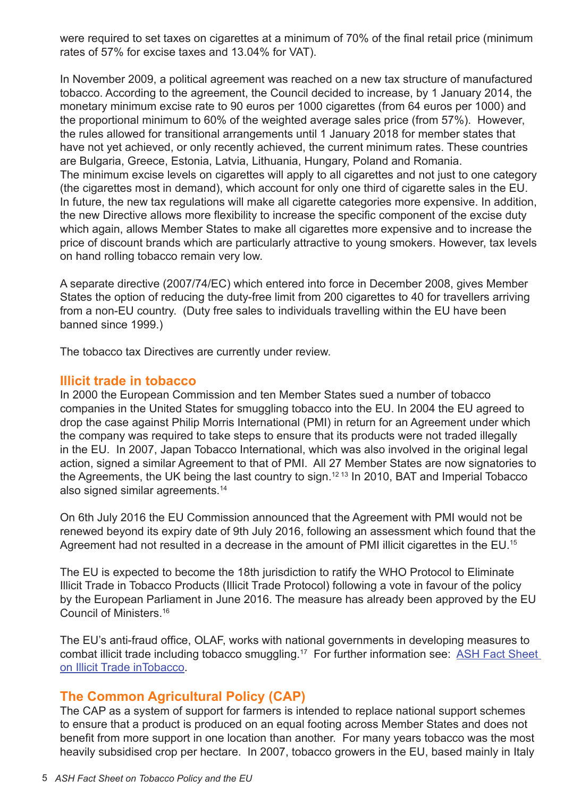were required to set taxes on cigarettes at a minimum of 70% of the final retail price (minimum rates of 57% for excise taxes and 13.04% for VAT).

In November 2009, a political agreement was reached on a new tax structure of manufactured tobacco. According to the agreement, the Council decided to increase, by 1 January 2014, the monetary minimum excise rate to 90 euros per 1000 cigarettes (from 64 euros per 1000) and the proportional minimum to 60% of the weighted average sales price (from 57%). However, the rules allowed for transitional arrangements until 1 January 2018 for member states that have not yet achieved, or only recently achieved, the current minimum rates. These countries are Bulgaria, Greece, Estonia, Latvia, Lithuania, Hungary, Poland and Romania. The minimum excise levels on cigarettes will apply to all cigarettes and not just to one category (the cigarettes most in demand), which account for only one third of cigarette sales in the EU. In future, the new tax regulations will make all cigarette categories more expensive. In addition, the new Directive allows more flexibility to increase the specific component of the excise duty which again, allows Member States to make all cigarettes more expensive and to increase the price of discount brands which are particularly attractive to young smokers. However, tax levels on hand rolling tobacco remain very low.

A separate directive (2007/74/EC) which entered into force in December 2008, gives Member States the option of reducing the duty-free limit from 200 cigarettes to 40 for travellers arriving from a non-EU country. (Duty free sales to individuals travelling within the EU have been banned since 1999.)

The tobacco tax Directives are currently under review.

#### **Illicit trade in tobacco**

In 2000 the European Commission and ten Member States sued a number of tobacco companies in the United States for smuggling tobacco into the EU. In 2004 the EU agreed to drop the case against Philip Morris International (PMI) in return for an Agreement under which the company was required to take steps to ensure that its products were not traded illegally in the EU. In 2007, Japan Tobacco International, which was also involved in the original legal action, signed a similar Agreement to that of PMI. All 27 Member States are now signatories to the Agreements, the UK being the last country to sign.<sup>12 13</sup> In 2010, BAT and Imperial Tobacco also signed similar agreements.14

On 6th July 2016 the EU Commission announced that the Agreement with PMI would not be renewed beyond its expiry date of 9th July 2016, following an assessment which found that the Agreement had not resulted in a decrease in the amount of PMI illicit cigarettes in the EU.<sup>15</sup>

The EU is expected to become the 18th jurisdiction to ratify the WHO Protocol to Eliminate Illicit Trade in Tobacco Products (Illicit Trade Protocol) following a vote in favour of the policy by the European Parliament in June 2016. The measure has already been approved by the EU Council of Ministers.<sup>16</sup>

The EU's anti-fraud office, OLAF, works with national governments in developing measures to combat illicit trade including tobacco smuggling.<sup>17</sup> For further information see: ASH Fact Sheet [on Illicit Trade inTobacco.](www.org.uk/download/illicit-trade-in-tobacco/
)

## **The Common Agricultural Policy (CAP)**

The CAP as a system of support for farmers is intended to replace national support schemes to ensure that a product is produced on an equal footing across Member States and does not benefit from more support in one location than another. For many years tobacco was the most heavily subsidised crop per hectare. In 2007, tobacco growers in the EU, based mainly in Italy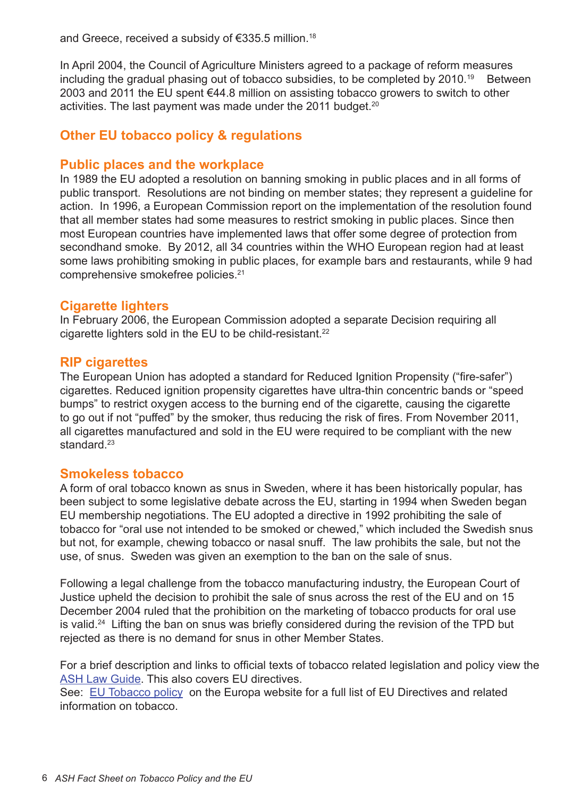and Greece, received a subsidy of €335.5 million.<sup>18</sup>

In April 2004, the Council of Agriculture Ministers agreed to a package of reform measures including the gradual phasing out of tobacco subsidies, to be completed by 2010.<sup>19</sup> Between 2003 and 2011 the EU spent €44.8 million on assisting tobacco growers to switch to other activities. The last payment was made under the 2011 budget.<sup>20</sup>

## **Other EU tobacco policy & regulations**

#### **Public places and the workplace**

In 1989 the EU adopted a resolution on banning smoking in public places and in all forms of public transport. Resolutions are not binding on member states; they represent a guideline for action. In 1996, a European Commission report on the implementation of the resolution found that all member states had some measures to restrict smoking in public places. Since then most European countries have implemented laws that offer some degree of protection from secondhand smoke. By 2012, all 34 countries within the WHO European region had at least some laws prohibiting smoking in public places, for example bars and restaurants, while 9 had comprehensive smokefree policies.21

#### **Cigarette lighters**

In February 2006, the European Commission adopted a separate Decision requiring all cigarette lighters sold in the EU to be child-resistant.<sup>22</sup>

#### **RIP cigarettes**

The European Union has adopted a standard for Reduced Ignition Propensity ("fire-safer") cigarettes. Reduced ignition propensity cigarettes have ultra-thin concentric bands or "speed bumps" to restrict oxygen access to the burning end of the cigarette, causing the cigarette to go out if not "puffed" by the smoker, thus reducing the risk of fires. From November 2011, all cigarettes manufactured and sold in the EU were required to be compliant with the new standard.<sup>23</sup>

#### **Smokeless tobacco**

A form of oral tobacco known as snus in Sweden, where it has been historically popular, has been subject to some legislative debate across the EU, starting in 1994 when Sweden began EU membership negotiations. The EU adopted a directive in 1992 prohibiting the sale of tobacco for "oral use not intended to be smoked or chewed," which included the Swedish snus but not, for example, chewing tobacco or nasal snuff. The law prohibits the sale, but not the use, of snus. Sweden was given an exemption to the ban on the sale of snus.

Following a legal challenge from the tobacco manufacturing industry, the European Court of Justice upheld the decision to prohibit the sale of snus across the rest of the EU and on 15 December 2004 ruled that the prohibition on the marketing of tobacco products for oral use is valid.<sup>24</sup> Lifting the ban on snus was briefly considered during the revision of the TPD but rejected as there is no demand for snus in other Member States.

For a brief description and links to official texts of tobacco related legislation and policy view the [ASH Law Guide.](www.org.uk/category/information-and-resources/law-guide/) This also covers EU directives.

See: [EU Tobacco policy](http://ec.europa.eu/health/tobacco/policy/index_en.htm) on the Europa website for a full list of EU Directives and related information on tobacco.